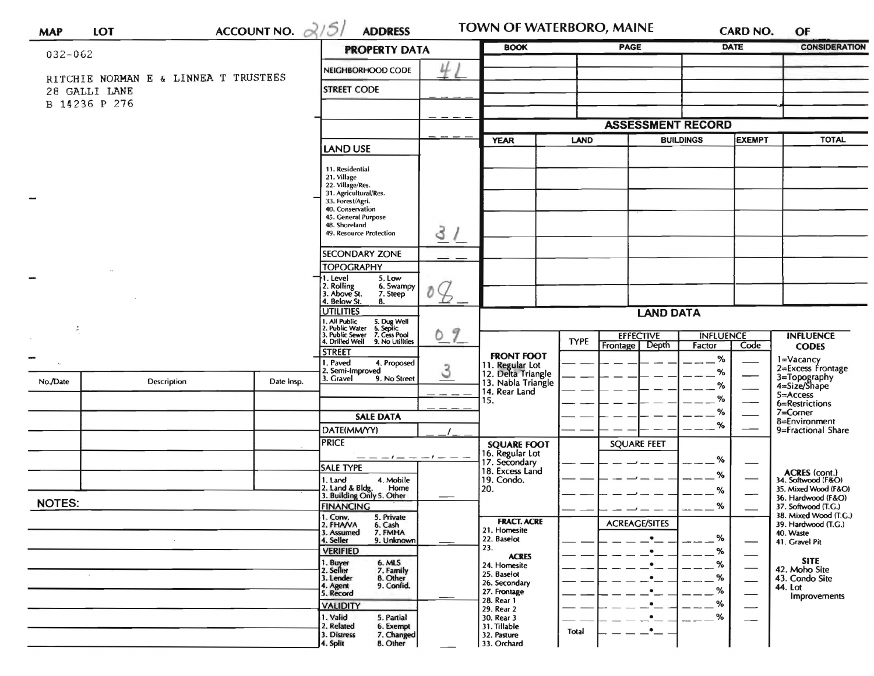| <b>MAP</b>    | <b>LOT</b>                           | ACCOUNT NO. $\alpha/5/$                                                                                                   | <b>ADDRESS</b>                                                                    |                     | <b>TOWN OF WATERBORO, MAINE</b>       |                  |                                   |           | <b>CARD NO.</b>          | OF                                           |
|---------------|--------------------------------------|---------------------------------------------------------------------------------------------------------------------------|-----------------------------------------------------------------------------------|---------------------|---------------------------------------|------------------|-----------------------------------|-----------|--------------------------|----------------------------------------------|
| 032-062       |                                      | <b>PROPERTY DATA</b>                                                                                                      |                                                                                   | <b>BOOK</b>         |                                       | <b>PAGE</b>      | <b>DATE</b>                       |           | <b>CONSIDERATION</b>     |                                              |
|               |                                      | NEIGHBORHOOD CODE                                                                                                         |                                                                                   |                     |                                       |                  |                                   |           |                          |                                              |
|               | RITCHIE NORMAN E & LINNEA T TRUSTEES |                                                                                                                           |                                                                                   |                     |                                       |                  |                                   |           |                          |                                              |
|               | 28 GALLI LANE                        | <b>STREET CODE</b>                                                                                                        |                                                                                   |                     |                                       |                  |                                   |           |                          |                                              |
|               | B 14236 P 276                        |                                                                                                                           |                                                                                   |                     |                                       |                  |                                   |           |                          |                                              |
|               |                                      |                                                                                                                           |                                                                                   |                     |                                       |                  | <b>ASSESSMENT RECORD</b>          |           |                          |                                              |
|               |                                      |                                                                                                                           |                                                                                   | LAND<br><b>YEAR</b> |                                       |                  | <b>EXEMPT</b><br><b>BUILDINGS</b> |           | <b>TOTAL</b>             |                                              |
|               |                                      |                                                                                                                           | <b>LAND USE</b>                                                                   |                     |                                       |                  |                                   |           |                          |                                              |
|               |                                      | 11. Residential                                                                                                           |                                                                                   |                     |                                       |                  |                                   |           |                          |                                              |
|               |                                      | 21. Village<br>22. Village/Res.                                                                                           |                                                                                   |                     |                                       |                  |                                   |           |                          |                                              |
|               |                                      |                                                                                                                           | 31. Agricultural/Res.<br>33. Forest/Agri.                                         |                     |                                       |                  |                                   |           |                          |                                              |
|               |                                      |                                                                                                                           | 40. Conservation<br>45. General Purpose                                           |                     |                                       |                  |                                   |           |                          |                                              |
|               |                                      |                                                                                                                           | 48. Shoreland<br>49. Resource Protection                                          | 3                   |                                       |                  |                                   |           |                          |                                              |
|               |                                      |                                                                                                                           |                                                                                   |                     |                                       |                  |                                   |           |                          |                                              |
|               |                                      |                                                                                                                           | <b>SECONDARY ZONE</b><br><b>TOPOGRAPHY</b>                                        |                     |                                       |                  |                                   |           |                          |                                              |
|               |                                      |                                                                                                                           | I. Level<br>5. Low                                                                |                     |                                       |                  |                                   |           |                          |                                              |
|               |                                      |                                                                                                                           | 2. Rolling<br>3. Above St.<br>6. Swampy<br>7. Steep                               |                     |                                       |                  |                                   |           |                          |                                              |
|               |                                      |                                                                                                                           | 4. Below St.<br>8.<br><b>UTILITIES</b>                                            |                     |                                       |                  |                                   |           |                          |                                              |
|               |                                      |                                                                                                                           |                                                                                   | <b>LAND DATA</b>    |                                       |                  |                                   |           |                          |                                              |
|               |                                      | 1. All Public 5. Dug Well<br>2. Public Water 6. Septic<br>3. Public Sewer 7. Cess Pool<br>4. Drilled Well 9. No Utilities | J<br>0                                                                            |                     | <b>TYPE</b>                           | <b>EFFECTIVE</b> | <b>INFLUENCE</b>                  |           | <b>INFLUENCE</b>         |                                              |
|               |                                      |                                                                                                                           | <b>STREET</b>                                                                     |                     | <b>FRONT FOOT</b>                     |                  | Frontage   Depth                  | Factor    | Code                     | <b>CODES</b>                                 |
|               |                                      |                                                                                                                           | 1. Paved<br>4. Proposed<br>2. Semi-Improved                                       | 3                   | 11. Regular Lot<br>12. Delta Triangle |                  |                                   | $\%$<br>% |                          | 1=Vacancy<br>2=Excess Frontage               |
| No./Date      | Description                          | Date Insp.                                                                                                                | 3. Gravel<br>9. No Street                                                         |                     | 13. Nabla Triangle                    |                  |                                   | %         |                          | 3=Topography<br>4=Size/Shape                 |
|               |                                      |                                                                                                                           |                                                                                   |                     | 14. Rear Land<br>15.                  |                  |                                   | %         |                          | 5=Access<br>6=Restrictions                   |
|               |                                      |                                                                                                                           | <b>SALE DATA</b>                                                                  |                     |                                       |                  |                                   | %         |                          | 7=Corner                                     |
|               |                                      |                                                                                                                           | DATE(MM/YY)                                                                       |                     |                                       |                  |                                   | %         |                          | 8=Environment<br>9=Fractional Share          |
|               |                                      |                                                                                                                           | <b>PRICE</b>                                                                      |                     | <b>SQUARE FOOT</b>                    |                  | <b>SOUARE FEET</b>                |           |                          |                                              |
|               |                                      |                                                                                                                           | $-1$ $-$                                                                          |                     | 16. Regular Lot<br>17. Secondary      |                  |                                   | %         |                          |                                              |
|               |                                      |                                                                                                                           | SALE TYPE                                                                         |                     | 18. Excess Land                       |                  |                                   | %         |                          | ACRES (cont.)<br>34. Softwood (F&O)          |
|               |                                      |                                                                                                                           | 1. Land<br>4. Mobile<br>2. Land & Bldg. Home<br>3. Building Only 5. Other<br>Home |                     | 19. Condo.<br>20.                     |                  |                                   | %         |                          | 35. Mixed Wood (F&O)                         |
| <b>NOTES:</b> |                                      |                                                                                                                           | <b>FINANCING</b>                                                                  |                     |                                       |                  |                                   | %         |                          | 36. Hardwood (F&O)<br>37. Softwood (T.G.)    |
|               |                                      |                                                                                                                           | 1. Conv.<br>5. Private<br>2. FHAVA                                                |                     | <b>FRACT. ACRE</b>                    |                  | <b>ACREAGE/SITES</b>              |           |                          | 38. Mixed Wood (T.G.)<br>39. Hardwood (T.G.) |
|               |                                      |                                                                                                                           | 6. Cash<br>7. FMHA<br>3. Assumed                                                  |                     | 21. Homesite<br>22. Baselot           |                  | $\bullet$                         | %         |                          | 40. Waste                                    |
|               |                                      |                                                                                                                           | 4. Seller<br>9. Unknown<br><b>VERIFIED</b>                                        |                     | 23.                                   |                  | ٠                                 | %         |                          | 41. Gravel Pit                               |
|               |                                      |                                                                                                                           | 1. Buyer<br>6. MLS                                                                |                     | <b>ACRES</b><br>24. Homesite          |                  | $\bullet$                         | %         |                          | <b>SITE</b><br>42. Moho Site                 |
|               |                                      |                                                                                                                           | 2. Seller<br>7. Family<br>3. Lender<br>8. Other                                   |                     | 25. Baselot<br>26. Secondary          |                  | $\bullet$                         | %         | —                        | 43. Condo Site                               |
|               |                                      |                                                                                                                           | 9. Confid.<br>4. Agent<br>5. Record                                               |                     | 27. Frontage                          |                  |                                   | %         |                          | 44. Lot<br>Improvements                      |
|               |                                      |                                                                                                                           | <b>VALIDITY</b>                                                                   |                     | 28. Rear 1<br>29. Rear 2              |                  | $\bullet$                         | %         | $\overline{\phantom{0}}$ |                                              |
|               |                                      |                                                                                                                           | 1. Valid<br>5. Partial<br>2. Related<br>6. Exempt                                 |                     | 30. Rear 3<br>31. Tillable            |                  | $\bullet$<br>$\bullet$            | %         |                          |                                              |
|               |                                      |                                                                                                                           | 3. Distress<br>7. Changed<br>4. Split<br>8. Other                                 |                     | 32. Pasture<br>33. Orchard            | Total            |                                   |           |                          |                                              |